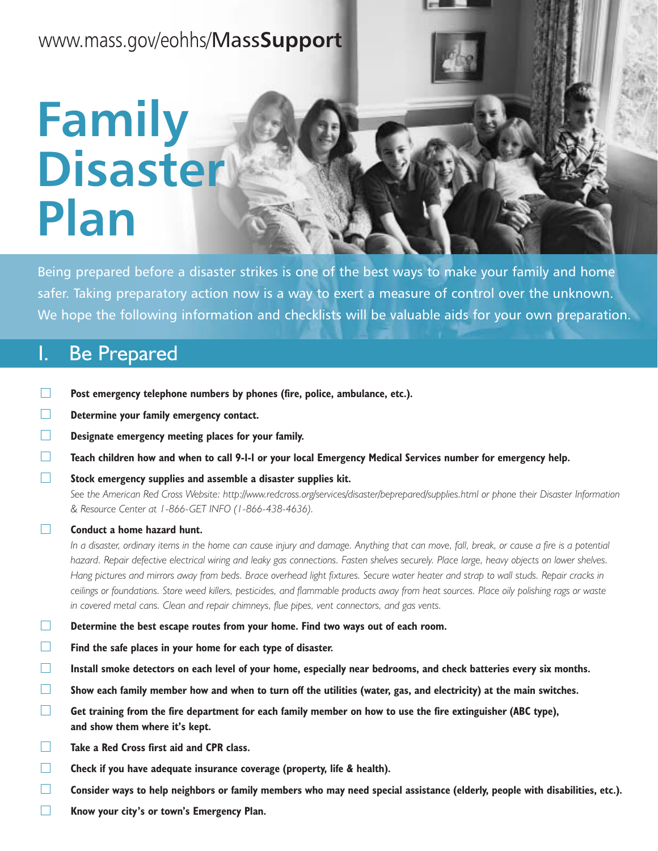## www.mass.gov/eohhs/Mass**Support**

# **Family Disaster Plan**

Being prepared before a disaster strikes is one of the best ways to make your family and home safer. Taking preparatory action now is a way to exert a measure of control over the unknown. We hope the following information and checklists will be valuable aids for your own preparation.

## I. Be Prepared

- $\Box$ **Post emergency telephone numbers by phones (fire, police, ambulance, etc.).**
- $\Box$ **Determine your family emergency contact.**
- $\Box$ **Designate emergency meeting places for your family.**
- $\Box$ **Teach children how and when to call 9-1-1 or your local Emergency Medical Services number for emergency help.**
- $\Box$ **Stock emergency supplies and assemble a disaster supplies kit.**

*See the American Red Cross Website: http://www.redcross.org/services/disaster/beprepared/supplies.html or phone their Disaster Information & Resource Center at 1-866-GET INFO (1-866-438-4636).*

#### $\Box$ **Conduct a home hazard hunt.**

*In a disaster, ordinary items in the home can cause injury and damage. Anything that can move, fall, break, or cause a fire is a potential hazard. Repair defective electrical wiring and leaky gas connections. Fasten shelves securely. Place large, heavy objects on lower shelves. Hang pictures and mirrors away from beds. Brace overhead light fixtures. Secure water heater and strap to wall studs. Repair cracks in ceilings or foundations. Store weed killers, pesticides, and flammable products away from heat sources. Place oily polishing rags or waste in covered metal cans. Clean and repair chimneys, flue pipes, vent connectors, and gas vents.*

- $\Box$ **Determine the best escape routes from your home. Find two ways out of each room.**
- $\Box$ **Find the safe places in your home for each type of disaster.**
- $\Box$ **Install smoke detectors on each level of your home, especially near bedrooms, and check batteries every six months.**
- П **Show each family member how and when to turn off the utilities (water, gas, and electricity) at the main switches.**
- $\Box$ **Get training from the fire department for each family member on how to use the fire extinguisher (ABC type), and show them where it's kept.**
- П **Take a Red Cross first aid and CPR class.**
- $\Box$ **Check if you have adequate insurance coverage (property, life & health).**
- П **Consider ways to help neighbors or family members who may need special assistance (elderly, people with disabilities, etc.).**
- $\Box$ **Know your city's or town's Emergency Plan.**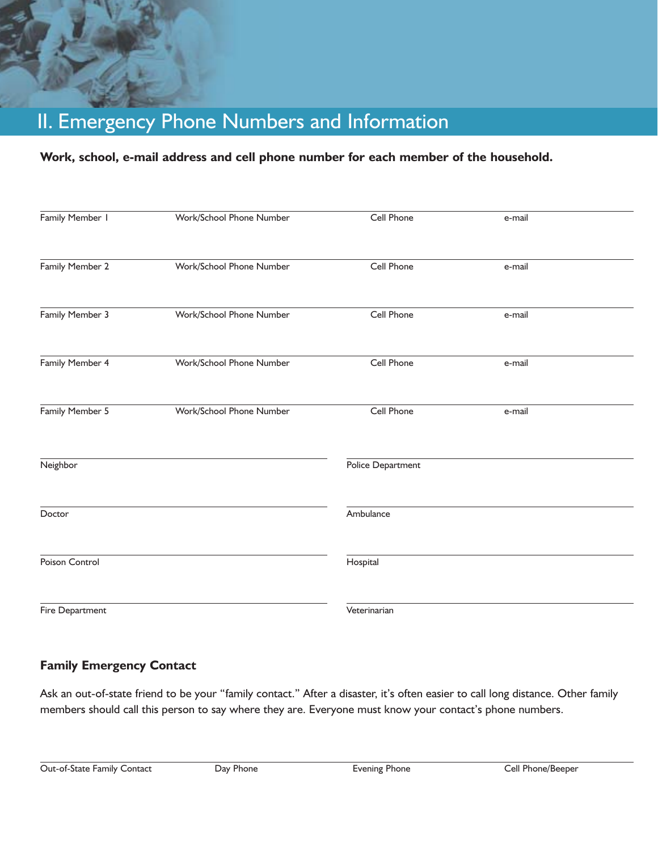## II. Emergency Phone Numbers and Information

### **Work, school, e-mail address and cell phone number for each member of the household.**

| Family Member 1 | Work/School Phone Number | Cell Phone        | e-mail |  |
|-----------------|--------------------------|-------------------|--------|--|
| Family Member 2 | Work/School Phone Number | Cell Phone        | e-mail |  |
| Family Member 3 | Work/School Phone Number | Cell Phone        | e-mail |  |
| Family Member 4 | Work/School Phone Number | Cell Phone        | e-mail |  |
| Family Member 5 | Work/School Phone Number | Cell Phone        | e-mail |  |
| Neighbor        |                          | Police Department |        |  |
| Doctor          |                          | Ambulance         |        |  |
| Poison Control  |                          | Hospital          |        |  |
| Fire Department |                          | Veterinarian      |        |  |

### **Family Emergency Contact**

Ask an out-of-state friend to be your "family contact." After a disaster, it's often easier to call long distance. Other family members should call this person to say where they are. Everyone must know your contact's phone numbers.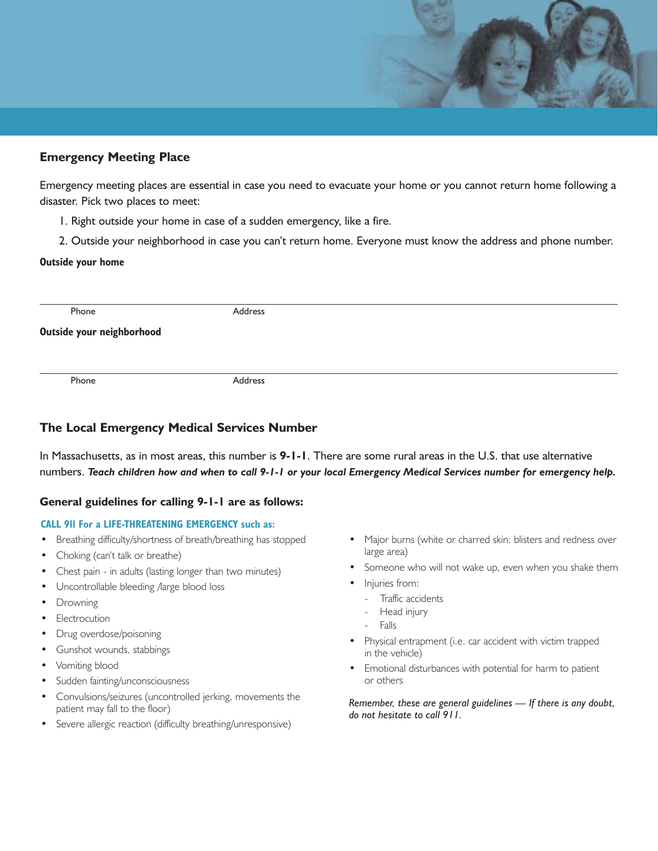#### **Emergency Meeting Place**

Emergency meeting places are essential in case you need to evacuate your home or you cannot return home following a disaster. Pick two places to meet:

- 1. Right outside your home in case of a sudden emergency, like a fire.
- 2. Outside your neighborhood in case you can't return home. Everyone must know the address and phone number.

#### **Outside your home**

Phone Address

**Outside your neighborhood**

Phone **Address** 

### **The Local Emergency Medical Services Number**

In Massachusetts, as in most areas, this number is **9-1-1**. There are some rural areas in the U.S. that use alternative numbers. *Teach children how and when to call 9-1-1 or your local Emergency Medical Services number for emergency help.*

#### **General guidelines for calling 9-1-1 are as follows:**

#### **CALL 911 For a LIFE-THREATENING EMERGENCY such as:**

- Breathing difficulty/shortness of breath/breathing has stopped
- Choking (can't talk or breathe)
- Chest pain in adults (lasting longer than two minutes)
- Uncontrollable bleeding /large blood loss
- **Drowning**
- **Electrocution**
- Drug overdose/poisoning
- Gunshot wounds, stabbings
- Vomiting blood
- Sudden fainting/unconsciousness
- Convulsions/seizures (uncontrolled jerking, movements the patient may fall to the floor)
- Severe allergic reaction (difficulty breathing/unresponsive)
- Major burns (white or charred skin: blisters and redness over large area)
- Someone who will not wake up, even when you shake them
- Injuries from:
	- Traffic accidents
	- Head injury
	- **Falls**
- Physical entrapment (i.e. car accident with victim trapped in the vehicle)
- Emotional disturbances with potential for harm to patient or others

*Remember, these are general guidelines — If there is any doubt, do not hesitate to call 911.*